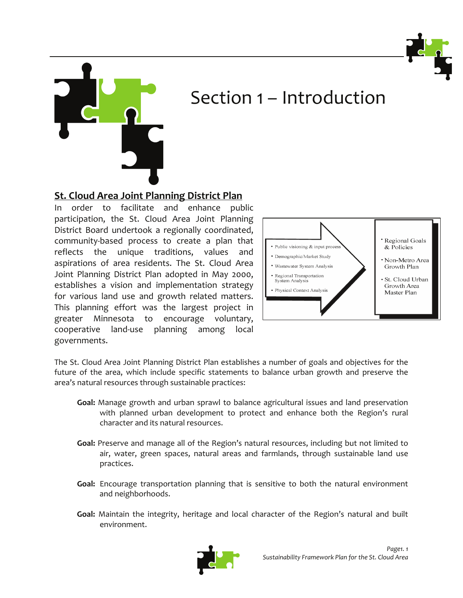



# Section 1 – Introduction

**St. Cloud Area Joint Planning District Plan**

In order to facilitate and enhance public participation, the St. Cloud Area Joint Planning District Board undertook a regionally coordinated, community‐based process to create a plan that reflects the unique traditions, values and aspirations of area residents. The St. Cloud Area Joint Planning District Plan adopted in May 2000, establishes a vision and implementation strategy for various land use and growth related matters. This planning effort was the largest project in greater Minnesota to encourage voluntary, cooperative land‐use planning among local governments.



The St. Cloud Area Joint Planning District Plan establishes a number of goals and objectives for the future of the area, which include specific statements to balance urban growth and preserve the area's natural resources through sustainable practices:

- **Goal:** Manage growth and urban sprawl to balance agricultural issues and land preservation with planned urban development to protect and enhance both the Region's rural character and its natural resources.
- **Goal:** Preserve and manage all of the Region's natural resources, including but not limited to air, water, green spaces, natural areas and farmlands, through sustainable land use practices.
- **Goal:** Encourage transportation planning that is sensitive to both the natural environment and neighborhoods.
- **Goal:** Maintain the integrity, heritage and local character of the Region's natural and built environment.

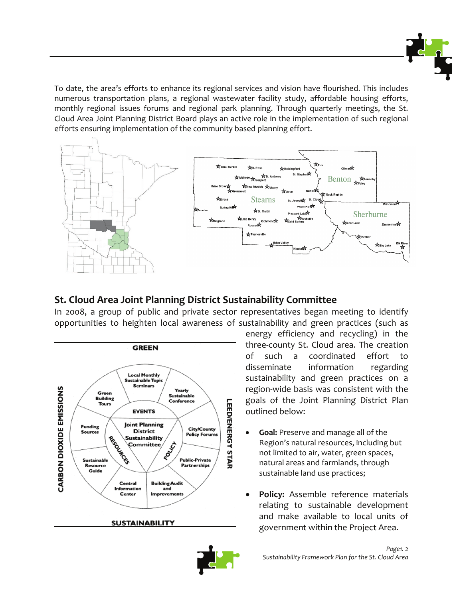

To date, the area's efforts to enhance its regional services and vision have flourished. This includes numerous transportation plans, a regional wastewater facility study, affordable housing efforts, monthly regional issues forums and regional park planning. Through quarterly meetings, the St. Cloud Area Joint Planning District Board plays an active role in the implementation of such regional efforts ensuring implementation of the community based planning effort.



# **St. Cloud Area Joint Planning District Sustainability Committee**

In 2008, a group of public and private sector representatives began meeting to identify opportunities to heighten local awareness of sustainability and green practices (such as



energy efficiency and recycling) in the three‐county St. Cloud area. The creation of such a coordinated effort to disseminate information regarding sustainability and green practices on a region‐wide basis was consistent with the goals of the Joint Planning District Plan outlined below:

- **Goal:** Preserve and manage all of the Region's natural resources, including but not limited to air, water, green spaces, natural areas and farmlands, through sustainable land use practices;
- **Policy:** Assemble reference materials relating to sustainable development and make available to local units of government within the Project Area.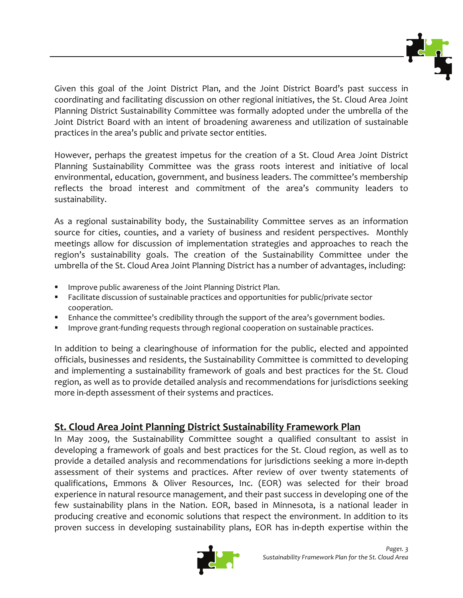

Given this goal of the Joint District Plan, and the Joint District Board's past success in coordinating and facilitating discussion on other regional initiatives, the St. Cloud Area Joint Planning District Sustainability Committee was formally adopted under the umbrella of the Joint District Board with an intent of broadening awareness and utilization of sustainable practices in the area's public and private sector entities.

However, perhaps the greatest impetus for the creation of a St. Cloud Area Joint District Planning Sustainability Committee was the grass roots interest and initiative of local environmental, education, government, and business leaders. The committee's membership reflects the broad interest and commitment of the area's community leaders to sustainability.

As a regional sustainability body, the Sustainability Committee serves as an information source for cities, counties, and a variety of business and resident perspectives. Monthly meetings allow for discussion of implementation strategies and approaches to reach the region's sustainability goals. The creation of the Sustainability Committee under the umbrella of the St. Cloud Area Joint Planning District has a number of advantages, including:

- Improve public awareness of the Joint Planning District Plan.
- Facilitate discussion of sustainable practices and opportunities for public/private sector cooperation.
- **E** Enhance the committee's credibility through the support of the area's government bodies.
- Improve grant-funding requests through regional cooperation on sustainable practices.

In addition to being a clearinghouse of information for the public, elected and appointed officials, businesses and residents, the Sustainability Committee is committed to developing and implementing a sustainability framework of goals and best practices for the St. Cloud region, as well as to provide detailed analysis and recommendations for jurisdictions seeking more in‐depth assessment of their systems and practices.

# **St. Cloud Area Joint Planning District Sustainability Framework Plan**

In May 2009, the Sustainability Committee sought a qualified consultant to assist in developing a framework of goals and best practices for the St. Cloud region, as well as to provide a detailed analysis and recommendations for jurisdictions seeking a more in‐depth assessment of their systems and practices. After review of over twenty statements of qualifications, Emmons & Oliver Resources, Inc. (EOR) was selected for their broad experience in natural resource management, and their past success in developing one of the few sustainability plans in the Nation. EOR, based in Minnesota, is a national leader in producing creative and economic solutions that respect the environment. In addition to its proven success in developing sustainability plans, EOR has in‐depth expertise within the

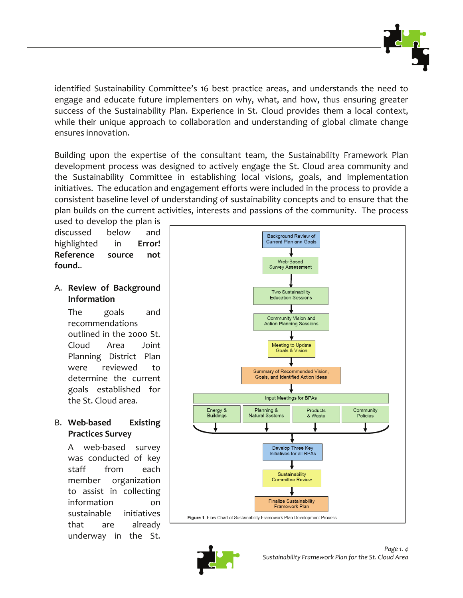

identified Sustainability Committee's 16 best practice areas, and understands the need to engage and educate future implementers on why, what, and how, thus ensuring greater success of the Sustainability Plan. Experience in St. Cloud provides them a local context, while their unique approach to collaboration and understanding of global climate change ensures innovation.

Building upon the expertise of the consultant team, the Sustainability Framework Plan development process was designed to actively engage the St. Cloud area community and the Sustainability Committee in establishing local visions, goals, and implementation initiatives. The education and engagement efforts were included in the process to provide a consistent baseline level of understanding of sustainability concepts and to ensure that the plan builds on the current activities, interests and passions of the community. The process

used to develop the plan is discussed below and highlighted in **Error! Reference source not found.**.

A. **Review of Background Information**

> The goals and recommendations outlined in the 2000 St. Cloud Area Joint Planning District Plan were reviewed to determine the current goals established for the St. Cloud area.

# B. **Web‐based Existing Practices Survey**

A web‐based survey was conducted of key staff from each member organization to assist in collecting information on sustainable initiatives that are already underway in the St.



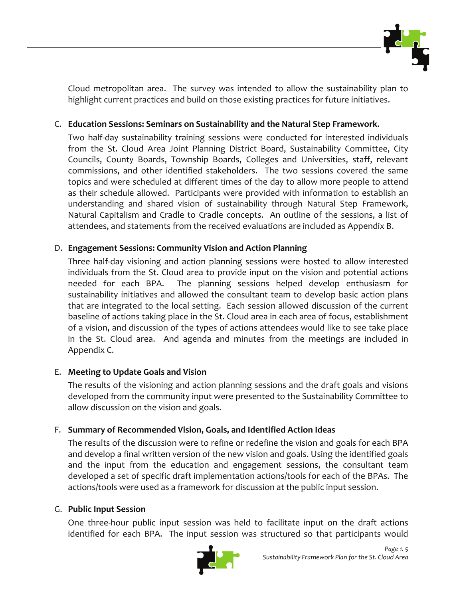

Cloud metropolitan area. The survey was intended to allow the sustainability plan to highlight current practices and build on those existing practices for future initiatives.

# C. **Education Sessions: Seminars on Sustainability and the Natural Step Framework.**

Two half‐day sustainability training sessions were conducted for interested individuals from the St. Cloud Area Joint Planning District Board, Sustainability Committee, City Councils, County Boards, Township Boards, Colleges and Universities, staff, relevant commissions, and other identified stakeholders. The two sessions covered the same topics and were scheduled at different times of the day to allow more people to attend as their schedule allowed. Participants were provided with information to establish an understanding and shared vision of sustainability through Natural Step Framework, Natural Capitalism and Cradle to Cradle concepts. An outline of the sessions, a list of attendees, and statements from the received evaluations are included as Appendix B.

## D. **Engagement Sessions: Community Vision and Action Planning**

Three half‐day visioning and action planning sessions were hosted to allow interested individuals from the St. Cloud area to provide input on the vision and potential actions needed for each BPA. The planning sessions helped develop enthusiasm for sustainability initiatives and allowed the consultant team to develop basic action plans that are integrated to the local setting. Each session allowed discussion of the current baseline of actions taking place in the St. Cloud area in each area of focus, establishment of a vision, and discussion of the types of actions attendees would like to see take place in the St. Cloud area. And agenda and minutes from the meetings are included in Appendix C.

## E. **Meeting to Update Goals and Vision**

The results of the visioning and action planning sessions and the draft goals and visions developed from the community input were presented to the Sustainability Committee to allow discussion on the vision and goals.

## F. **Summary of Recommended Vision, Goals, and Identified Action Ideas**

The results of the discussion were to refine or redefine the vision and goals for each BPA and develop a final written version of the new vision and goals. Using the identified goals and the input from the education and engagement sessions, the consultant team developed a set of specific draft implementation actions/tools for each of the BPAs. The actions/tools were used as a framework for discussion at the public input session.

## G. **Public Input Session**

One three‐hour public input session was held to facilitate input on the draft actions identified for each BPA. The input session was structured so that participants would

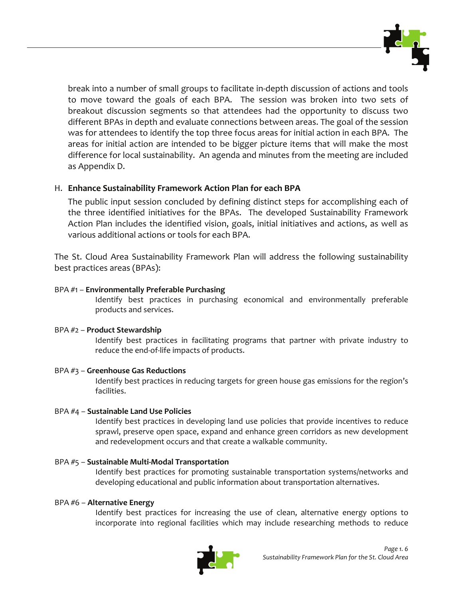

break into a number of small groups to facilitate in‐depth discussion of actions and tools to move toward the goals of each BPA. The session was broken into two sets of breakout discussion segments so that attendees had the opportunity to discuss two different BPAs in depth and evaluate connections between areas. The goal of the session was for attendees to identify the top three focus areas for initial action in each BPA. The areas for initial action are intended to be bigger picture items that will make the most difference for local sustainability. An agenda and minutes from the meeting are included as Appendix D.

## H. **Enhance Sustainability Framework Action Plan for each BPA**

The public input session concluded by defining distinct steps for accomplishing each of the three identified initiatives for the BPAs. The developed Sustainability Framework Action Plan includes the identified vision, goals, initial initiatives and actions, as well as various additional actions or tools for each BPA.

The St. Cloud Area Sustainability Framework Plan will address the following sustainability best practices areas (BPAs):

### BPA #1 – **Environmentally Preferable Purchasing**

Identify best practices in purchasing economical and environmentally preferable products and services.

## BPA #2 – **Product Stewardship**

Identify best practices in facilitating programs that partner with private industry to reduce the end‐of‐life impacts of products.

## BPA #3 – **Greenhouse Gas Reductions**

Identify best practices in reducing targets for green house gas emissions for the region's facilities.

## BPA #4 – **Sustainable Land Use Policies**

Identify best practices in developing land use policies that provide incentives to reduce sprawl, preserve open space, expand and enhance green corridors as new development and redevelopment occurs and that create a walkable community.

#### BPA #5 – **Sustainable Multi‐Modal Transportation**

Identify best practices for promoting sustainable transportation systems/networks and developing educational and public information about transportation alternatives.

#### BPA #6 – **Alternative Energy**

Identify best practices for increasing the use of clean, alternative energy options to incorporate into regional facilities which may include researching methods to reduce

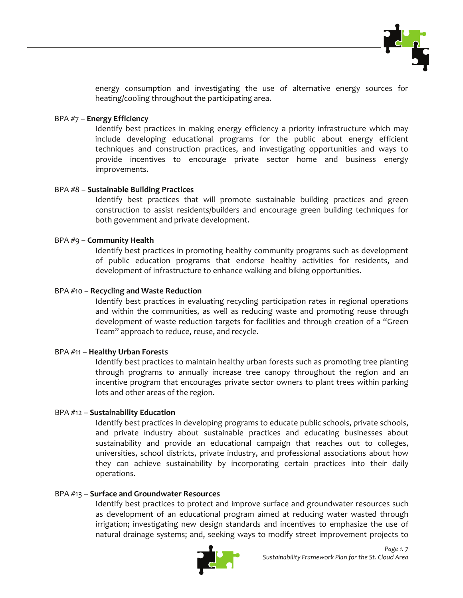

energy consumption and investigating the use of alternative energy sources for heating/cooling throughout the participating area.

#### BPA #7 – **Energy Efficiency**

Identify best practices in making energy efficiency a priority infrastructure which may include developing educational programs for the public about energy efficient techniques and construction practices, and investigating opportunities and ways to provide incentives to encourage private sector home and business energy improvements.

#### BPA #8 – **Sustainable Building Practices**

Identify best practices that will promote sustainable building practices and green construction to assist residents/builders and encourage green building techniques for both government and private development.

#### BPA #9 – **Community Health**

Identify best practices in promoting healthy community programs such as development of public education programs that endorse healthy activities for residents, and development of infrastructure to enhance walking and biking opportunities.

#### BPA #10 – **Recycling and Waste Reduction**

Identify best practices in evaluating recycling participation rates in regional operations and within the communities, as well as reducing waste and promoting reuse through development of waste reduction targets for facilities and through creation of a "Green Team" approach to reduce, reuse, and recycle.

#### BPA #11 – **Healthy Urban Forests**

Identify best practices to maintain healthy urban forests such as promoting tree planting through programs to annually increase tree canopy throughout the region and an incentive program that encourages private sector owners to plant trees within parking lots and other areas of the region.

#### BPA #12 – **Sustainability Education**

Identify best practices in developing programs to educate public schools, private schools, and private industry about sustainable practices and educating businesses about sustainability and provide an educational campaign that reaches out to colleges, universities, school districts, private industry, and professional associations about how they can achieve sustainability by incorporating certain practices into their daily operations.

#### BPA #13 – **Surface and Groundwater Resources**

Identify best practices to protect and improve surface and groundwater resources such as development of an educational program aimed at reducing water wasted through irrigation; investigating new design standards and incentives to emphasize the use of natural drainage systems; and, seeking ways to modify street improvement projects to

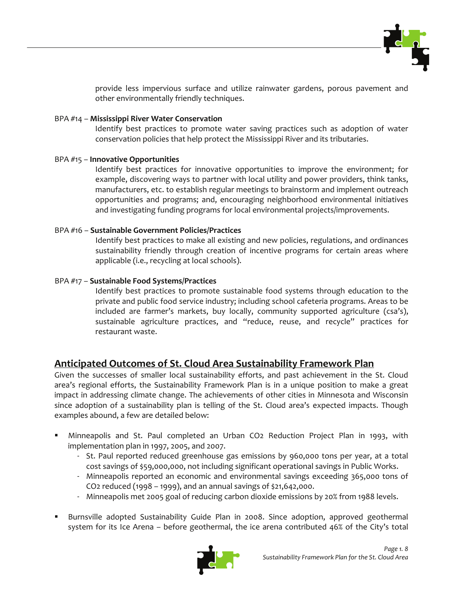

provide less impervious surface and utilize rainwater gardens, porous pavement and other environmentally friendly techniques.

#### BPA #14 – **Mississippi River Water Conservation**

Identify best practices to promote water saving practices such as adoption of water conservation policies that help protect the Mississippi River and its tributaries.

#### BPA #15 – **Innovative Opportunities**

Identify best practices for innovative opportunities to improve the environment; for example, discovering ways to partner with local utility and power providers, think tanks, manufacturers, etc. to establish regular meetings to brainstorm and implement outreach opportunities and programs; and, encouraging neighborhood environmental initiatives and investigating funding programs for local environmental projects/improvements.

#### BPA #16 – **Sustainable Government Policies/Practices**

Identify best practices to make all existing and new policies, regulations, and ordinances sustainability friendly through creation of incentive programs for certain areas where applicable (i.e., recycling at local schools).

#### BPA #17 – **Sustainable Food Systems/Practices**

Identify best practices to promote sustainable food systems through education to the private and public food service industry; including school cafeteria programs. Areas to be included are farmer's markets, buy locally, community supported agriculture (csa's), sustainable agriculture practices, and "reduce, reuse, and recycle" practices for restaurant waste.

## **Anticipated Outcomes of St. Cloud Area Sustainability Framework Plan**

Given the successes of smaller local sustainability efforts, and past achievement in the St. Cloud area's regional efforts, the Sustainability Framework Plan is in a unique position to make a great impact in addressing climate change. The achievements of other cities in Minnesota and Wisconsin since adoption of a sustainability plan is telling of the St. Cloud area's expected impacts. Though examples abound, a few are detailed below:

- Minneapolis and St. Paul completed an Urban CO2 Reduction Project Plan in 1993, with implementation plan in 1997, 2005, and 2007.
	- St. Paul reported reduced greenhouse gas emissions by 960,000 tons per year, at a total cost savings of \$59,000,000, not including significant operational savings in Public Works.
	- Minneapolis reported an economic and environmental savings exceeding 365,000 tons of CO2 reduced (1998 – 1999), and an annual savings of \$21,642,000.
	- Minneapolis met 2005 goal of reducing carbon dioxide emissions by 20% from 1988 levels.
- Burnsville adopted Sustainability Guide Plan in 2008. Since adoption, approved geothermal system for its Ice Arena – before geothermal, the ice arena contributed 46% of the City's total

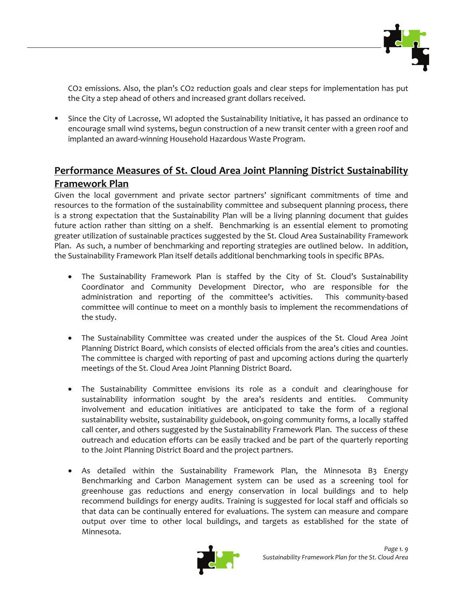

CO2 emissions. Also, the plan's CO2 reduction goals and clear steps for implementation has put the City a step ahead of others and increased grant dollars received.

 Since the City of Lacrosse, WI adopted the Sustainability Initiative, it has passed an ordinance to encourage small wind systems, begun construction of a new transit center with a green roof and implanted an award‐winning Household Hazardous Waste Program.

# **Performance Measures of St. Cloud Area Joint Planning District Sustainability Framework Plan**

Given the local government and private sector partners' significant commitments of time and resources to the formation of the sustainability committee and subsequent planning process, there is a strong expectation that the Sustainability Plan will be a living planning document that guides future action rather than sitting on a shelf. Benchmarking is an essential element to promoting greater utilization of sustainable practices suggested by the St. Cloud Area Sustainability Framework Plan. As such, a number of benchmarking and reporting strategies are outlined below. In addition, the Sustainability Framework Plan itself details additional benchmarking tools in specific BPAs.

- The Sustainability Framework Plan is staffed by the City of St. Cloud's Sustainability Coordinator and Community Development Director, who are responsible for the administration and reporting of the committee's activities. This community‐based committee will continue to meet on a monthly basis to implement the recommendations of the study.
- The Sustainability Committee was created under the auspices of the St. Cloud Area Joint Planning District Board, which consists of elected officials from the area's cities and counties. The committee is charged with reporting of past and upcoming actions during the quarterly meetings of the St. Cloud Area Joint Planning District Board.
- The Sustainability Committee envisions its role as a conduit and clearinghouse for sustainability information sought by the area's residents and entities. Community involvement and education initiatives are anticipated to take the form of a regional sustainability website, sustainability guidebook, on‐going community forms, a locally staffed call center, and others suggested by the Sustainability Framework Plan. The success of these outreach and education efforts can be easily tracked and be part of the quarterly reporting to the Joint Planning District Board and the project partners.
- As detailed within the Sustainability Framework Plan, the Minnesota B3 Energy Benchmarking and Carbon Management system can be used as a screening tool for greenhouse gas reductions and energy conservation in local buildings and to help recommend buildings for energy audits. Training is suggested for local staff and officials so that data can be continually entered for evaluations. The system can measure and compare output over time to other local buildings, and targets as established for the state of Minnesota.

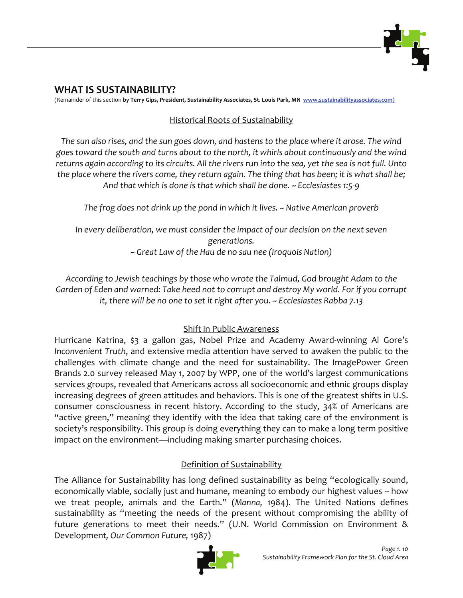

# **WHAT IS SUSTAINABILITY?**

(Remainder of this section **by Terry Gips, President, Sustainability Associates, St. Louis Park, MN www.sustainabilityassociates.com)**

# Historical Roots of Sustainability

The sun also rises, and the sun goes down, and hastens to the place where it arose. The wind *goes toward the south and turns about to the north, it whirls about continuously and the wind* returns again according to its circuits. All the rivers run into the sea, yet the sea is not full. Unto the place where the rivers come, they return again. The thing that has been; it is what shall be; *And that which is done is that which shall be done. ~ Ecclesiastes 1:5‐9*

*The frog does not drink up the pond in which it lives. ~ Native American proverb*

*In every deliberation, we must consider the impact of our decision on the next seven generations. ~ Great Law of the Hau de no sau nee (Iroquois Nation)*

*According to Jewish teachings by those who wrote the Talmud, God brought Adam to the Garden of Eden and warned: Take heed not to corrupt and destroy My world. For if you corrupt it, there will be no one to set it right after you. ~ Ecclesiastes Rabba 7.13*

# Shift in Public Awareness

Hurricane Katrina, \$3 a gallon gas, Nobel Prize and Academy Award‐winning Al Gore's *Inconvenient Truth*, and extensive media attention have served to awaken the public to the challenges with climate change and the need for sustainability. The ImagePower Green Brands 2.0 survey released May 1, 2007 by WPP, one of the world's largest communications services groups, revealed that Americans across all socioeconomic and ethnic groups display increasing degrees of green attitudes and behaviors. This is one of the greatest shifts in U.S. consumer consciousness in recent history. According to the study, 34% of Americans are "active green," meaning they identify with the idea that taking care of the environment is society's responsibility. This group is doing everything they can to make a long term positive impact on the environment—including making smarter purchasing choices.

# Definition of Sustainability

The Alliance for Sustainability has long defined sustainability as being "ecologically sound, economically viable, socially just and humane, meaning to embody our highest values -- how we treat people, animals and the Earth." (*Manna,* 1984). The United Nations defines sustainability as "meeting the needs of the present without compromising the ability of future generations to meet their needs." (U.N. World Commission on Environment & Development*, Our Common Future,* 1987)

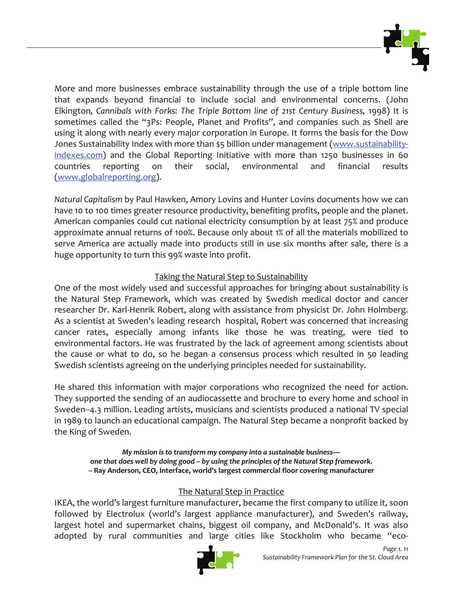

More and more businesses embrace sustainability through the use of a triple bottom line that expands beyond financial to include social and environmental concerns. (John Elkington*, Cannibals with Forks: The Triple Bottom line of 21st Century Business,* 1998) It is sometimes called the "3Ps: People, Planet and Profits", and companies such as Shell are using it along with nearly every major corporation in Europe. It forms the basis for the Dow Jones Sustainability Index with more than \$5 billion under management (www.sustainabilityindexes.com) and the Global Reporting Initiative with more than 1250 businesses in 60 countries reporting on their social, environmental and financial results (www.globalreporting.org).

*Natural Capitalism* by Paul Hawken, Amory Lovins and Hunter Lovins documents how we can have 10 to 100 times greater resource productivity, benefiting profits, people and the planet. American companies could cut national electricity consumption by at least 75% and produce approximate annual returns of 100%. Because only about 1% of all the materials mobilized to serve America are actually made into products still in use six months after sale, there is a huge opportunity to turn this 99% waste into profit.

## Taking the Natural Step to Sustainability

One of the most widely used and successful approaches for bringing about sustainability is the Natural Step Framework, which was created by Swedish medical doctor and cancer researcher Dr. Karl‐Henrik Robert, along with assistance from physicist Dr. John Holmberg. As a scientist at Sweden's leading research hospital, Robert was concerned that increasing cancer rates, especially among infants like those he was treating, were tied to environmental factors. He was frustrated by the lack of agreement among scientists about the cause or what to do, so he began a consensus process which resulted in 50 leading Swedish scientists agreeing on the underlying principles needed for sustainability.

He shared this information with major corporations who recognized the need for action. They supported the sending of an audiocassette and brochure to every home and school in Sweden--4.3 million. Leading artists, musicians and scientists produced a national TV special in 1989 to launch an educational campaign. The Natural Step became a nonprofit backed by the King of Sweden.

*My mission is to transform my company into a sustainable business one that does well by doing good – by using the principles of the Natural Step framework***. ‐‐ Ray Anderson, CEO, Interface, world's largest commercial floor covering manufacturer**

# The Natural Step in Practice

IKEA, the world's largest furniture manufacturer, became the first company to utilize it, soon followed by Electrolux (world's largest appliance manufacturer), and Sweden's railway, largest hotel and supermarket chains, biggest oil company, and McDonald's. It was also adopted by rural communities and large cities like Stockholm who became "eco-

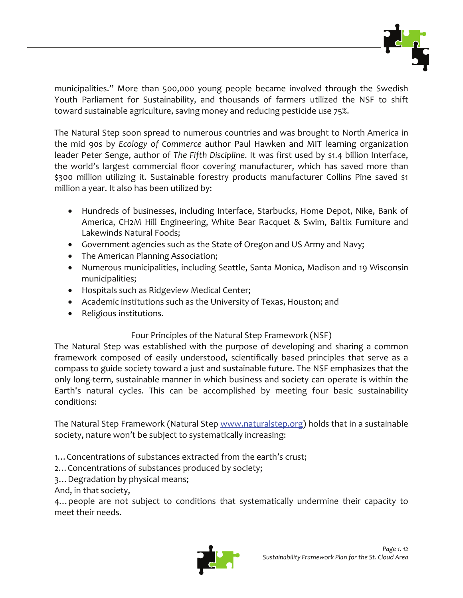

municipalities." More than 500,000 young people became involved through the Swedish Youth Parliament for Sustainability, and thousands of farmers utilized the NSF to shift toward sustainable agriculture, saving money and reducing pesticide use 75%.

The Natural Step soon spread to numerous countries and was brought to North America in the mid 90s by *Ecology of Commerce* author Paul Hawken and MIT learning organization leader Peter Senge, author of *The Fifth Discipline*. It was first used by \$1.4 billion Interface, the world's largest commercial floor covering manufacturer, which has saved more than \$300 million utilizing it. Sustainable forestry products manufacturer Collins Pine saved \$1 million a year. It also has been utilized by:

- Hundreds of businesses, including Interface, Starbucks, Home Depot, Nike, Bank of America, CH2M Hill Engineering, White Bear Racquet & Swim, Baltix Furniture and Lakewinds Natural Foods;
- Government agencies such as the State of Oregon and US Army and Navy;
- The American Planning Association;
- Numerous municipalities, including Seattle, Santa Monica, Madison and 19 Wisconsin municipalities;
- Hospitals such as Ridgeview Medical Center;
- Academic institutions such as the University of Texas, Houston; and
- Religious institutions.

# Four Principles of the Natural Step Framework (NSF)

The Natural Step was established with the purpose of developing and sharing a common framework composed of easily understood, scientifically based principles that serve as a compass to guide society toward a just and sustainable future. The NSF emphasizes that the only long‐term, sustainable manner in which business and society can operate is within the Earth's natural cycles. This can be accomplished by meeting four basic sustainability conditions:

The Natural Step Framework (Natural Step www.naturalstep.org) holds that in a sustainable society, nature won't be subject to systematically increasing:

1…Concentrations of substances extracted from the earth's crust;

2…Concentrations of substances produced by society;

3…Degradation by physical means;

And, in that society,

4…people are not subject to conditions that systematically undermine their capacity to meet their needs.

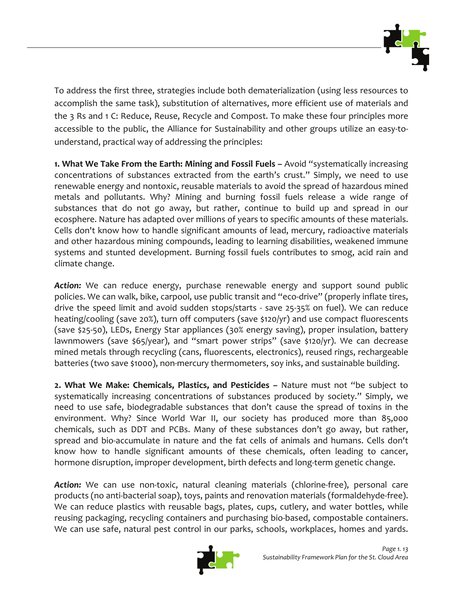

To address the first three, strategies include both dematerialization (using less resources to accomplish the same task), substitution of alternatives, more efficient use of materials and the 3 Rs and 1 C: Reduce, Reuse, Recycle and Compost. To make these four principles more accessible to the public, the Alliance for Sustainability and other groups utilize an easy-tounderstand, practical way of addressing the principles:

**1. What We Take From the Earth: Mining and Fossil Fuels –** Avoid "systematically increasing concentrations of substances extracted from the earth's crust." Simply, we need to use renewable energy and nontoxic, reusable materials to avoid the spread of hazardous mined metals and pollutants. Why? Mining and burning fossil fuels release a wide range of substances that do not go away, but rather, continue to build up and spread in our ecosphere. Nature has adapted over millions of years to specific amounts of these materials. Cells don't know how to handle significant amounts of lead, mercury, radioactive materials and other hazardous mining compounds, leading to learning disabilities, weakened immune systems and stunted development. Burning fossil fuels contributes to smog, acid rain and climate change.

*Action:* We can reduce energy, purchase renewable energy and support sound public policies. We can walk, bike, carpool, use public transit and "eco-drive" (properly inflate tires, drive the speed limit and avoid sudden stops/starts - save 25-35% on fuel). We can reduce heating/cooling (save 20%), turn off computers (save \$120/yr) and use compact fluorescents (save \$25‐50), LEDs, Energy Star appliances (30% energy saving), proper insulation, battery lawnmowers (save \$65/year), and "smart power strips" (save \$120/yr). We can decrease mined metals through recycling (cans, fluorescents, electronics), reused rings, rechargeable batteries (two save \$1000), non-mercury thermometers, soy inks, and sustainable building.

**2. What We Make: Chemicals, Plastics, and Pesticides –** Nature must not "be subject to systematically increasing concentrations of substances produced by society." Simply, we need to use safe, biodegradable substances that don't cause the spread of toxins in the environment. Why? Since World War II, our society has produced more than 85,000 chemicals, such as DDT and PCBs. Many of these substances don't go away, but rather, spread and bio-accumulate in nature and the fat cells of animals and humans. Cells don't know how to handle significant amounts of these chemicals, often leading to cancer, hormone disruption, improper development, birth defects and long-term genetic change.

Action: We can use non-toxic, natural cleaning materials (chlorine-free), personal care products (no anti‐bacterial soap), toys, paints and renovation materials (formaldehyde‐free). We can reduce plastics with reusable bags, plates, cups, cutlery, and water bottles, while reusing packaging, recycling containers and purchasing bio‐based, compostable containers. We can use safe, natural pest control in our parks, schools, workplaces, homes and yards.